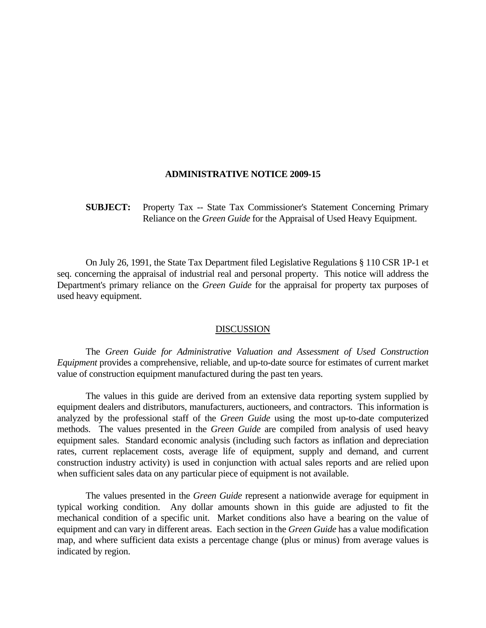## **ADMINISTRATIVE NOTICE 2009-15**

**SUBJECT:** Property Tax -- State Tax Commissioner's Statement Concerning Primary Reliance on the *Green Guide* for the Appraisal of Used Heavy Equipment.

 On July 26, 1991, the State Tax Department filed Legislative Regulations § 110 CSR 1P-1 et seq. concerning the appraisal of industrial real and personal property. This notice will address the Department's primary reliance on the *Green Guide* for the appraisal for property tax purposes of used heavy equipment.

## DISCUSSION

 The *Green Guide for Administrative Valuation and Assessment of Used Construction Equipment* provides a comprehensive, reliable, and up-to-date source for estimates of current market value of construction equipment manufactured during the past ten years.

 The values in this guide are derived from an extensive data reporting system supplied by equipment dealers and distributors, manufacturers, auctioneers, and contractors. This information is analyzed by the professional staff of the *Green Guide* using the most up-to-date computerized methods. The values presented in the *Green Guide* are compiled from analysis of used heavy equipment sales. Standard economic analysis (including such factors as inflation and depreciation rates, current replacement costs, average life of equipment, supply and demand, and current construction industry activity) is used in conjunction with actual sales reports and are relied upon when sufficient sales data on any particular piece of equipment is not available.

 The values presented in the *Green Guide* represent a nationwide average for equipment in typical working condition. Any dollar amounts shown in this guide are adjusted to fit the mechanical condition of a specific unit. Market conditions also have a bearing on the value of equipment and can vary in different areas. Each section in the *Green Guide* has a value modification map, and where sufficient data exists a percentage change (plus or minus) from average values is indicated by region.